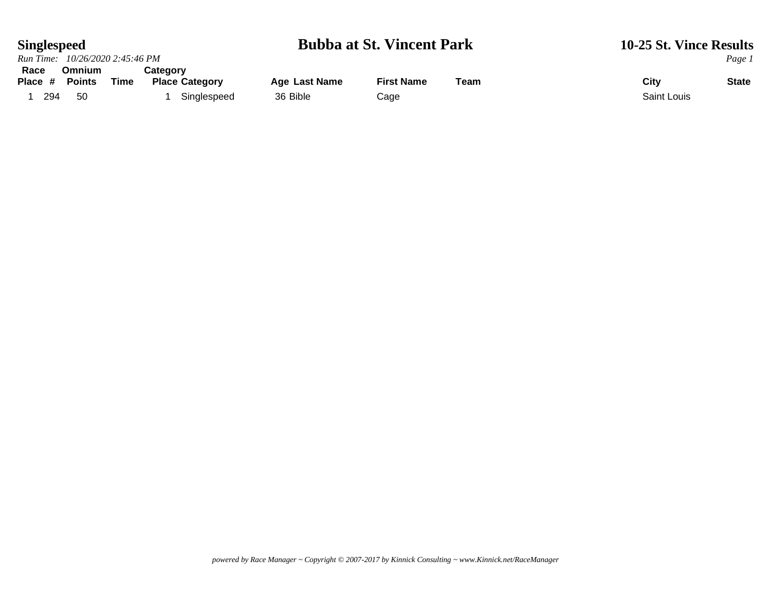## **Singlespeed Bubba at St. Vincent Park** 10-25 St. Vince Results<br>Run Time: 10/26/2020 2:45:46 PM

|         | Run Time: 10/26/2020 2:45:46 PM |      |                       |                      |                   |      |             | Page 1       |
|---------|---------------------------------|------|-----------------------|----------------------|-------------------|------|-------------|--------------|
| Race    | <b>Omnium</b>                   |      | Category              |                      |                   |      |             |              |
| Place # | <b>Points</b>                   | Time | <b>Place Category</b> | <b>Age Last Name</b> | <b>First Name</b> | Team | City        | <b>State</b> |
| 294     | 50                              |      | Singlespeed           | 36 Bible             | Cage              |      | Saint Louis |              |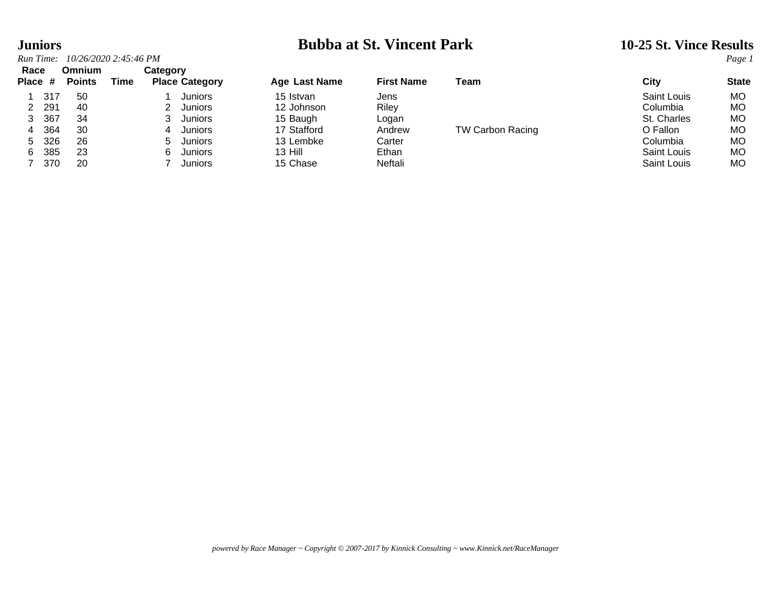| <b>Juniors</b> |                       |      |                       |               | <b>Bubba at St. Vincent Park</b> | 10-25 St. Vince Results |             |              |
|----------------|-----------------------|------|-----------------------|---------------|----------------------------------|-------------------------|-------------|--------------|
| Run Time:      | 10/26/2020 2:45:46 PM |      |                       |               |                                  |                         |             | Page 1       |
| Race           | <b>Omnium</b>         |      | Category              |               |                                  |                         |             |              |
| Place #        | <b>Points</b>         | Time | <b>Place Category</b> | Age Last Name | <b>First Name</b>                | Team                    | City        | <b>State</b> |
| 317            | 50                    |      | <b>Juniors</b>        | 15 Istvan     | Jens                             |                         | Saint Louis | MО           |
| 291            | 40                    |      | <b>Juniors</b><br>2   | 12 Johnson    | Riley                            |                         | Columbia    | МO           |
| 367<br>3       | 34                    |      | Juniors               | 15 Baugh      | Logan                            |                         | St. Charles | МO           |
| 364<br>4       | 30                    |      | Juniors<br>4          | 17 Stafford   | Andrew                           | <b>TW Carbon Racing</b> | O Fallon    | МO           |
| 326<br>5.      | 26                    |      | 5.<br>Juniors         | 13 Lembke     | Carter                           |                         | Columbia    | МO           |
| 385<br>6.      | 23                    |      | 6<br><b>Juniors</b>   | $13$ Hill     | Ethan                            |                         | Saint Louis | МO           |
| 370            | 20                    |      | Juniors               | 15 Chase      | Neftali                          |                         | Saint Louis | МO           |

| Race    |     | Omnium        |      | Category |                       |               |                   |                         |                    |              |
|---------|-----|---------------|------|----------|-----------------------|---------------|-------------------|-------------------------|--------------------|--------------|
| Place # |     | <b>Points</b> | Time |          | <b>Place Category</b> | Age Last Name | <b>First Name</b> | Team                    | City               | <b>State</b> |
|         | 317 | 50            |      |          | Juniors               | 15 Istvan     | Jens              |                         | Saint Louis        | <b>MO</b>    |
|         | 291 | 40            |      |          | Juniors               | 12 Johnson    | Riley             |                         | Columbia           | МO           |
|         | 367 | 34            |      |          | <b>Juniors</b>        | 15 Baugh      | Logan             |                         | St. Charles        | <b>MO</b>    |
|         | 364 | 30            |      | 4        | <b>Juniors</b>        | 17 Stafford   | Andrew            | <b>TW Carbon Racing</b> | O Fallon           | МO           |
| $5 -$   | 326 | 26            |      | 5.       | <b>Juniors</b>        | 13 Lembke     | Carter            |                         | Columbia           | МO           |
| 6.      | 385 | 23            |      | հ․       | <b>Juniors</b>        | 13 Hill       | Ethan             |                         | <b>Saint Louis</b> | МO           |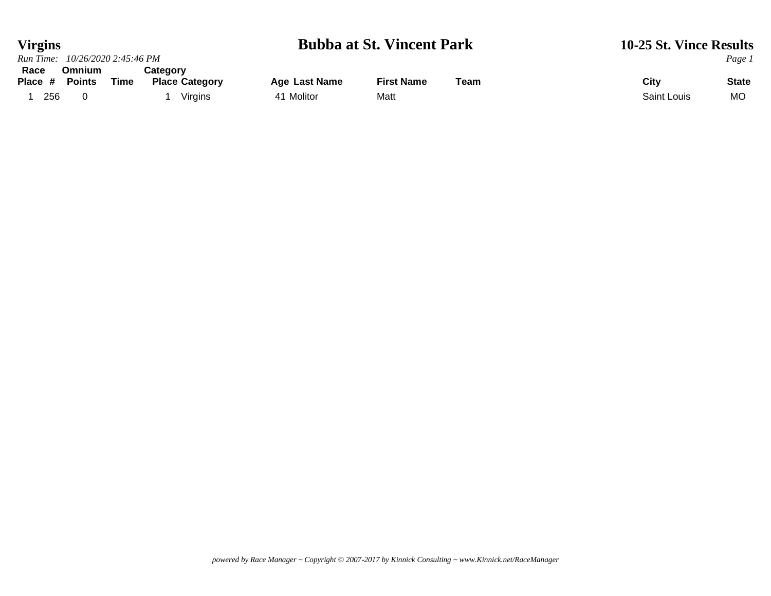### **Virgins Bubba at St. Vincent Park 10-25 St. Vince Results** *Run Time:* 10/26/2020 2:45:46 PM *Page 1 Run Time: 10/26/2020 2:45:46 PM Page 1* **Race Omnium Category**

| .<br>Place # | ----------<br><b>Points</b> | Time | $-$ ,<br><b>Place Category</b> | Age Last Name | <b>First Name</b> | ™eam | City        | <b>State</b> |
|--------------|-----------------------------|------|--------------------------------|---------------|-------------------|------|-------------|--------------|
| 256          |                             |      | Virgins                        | Molitor       | Matt              |      | Saint Louis | <b>MC</b>    |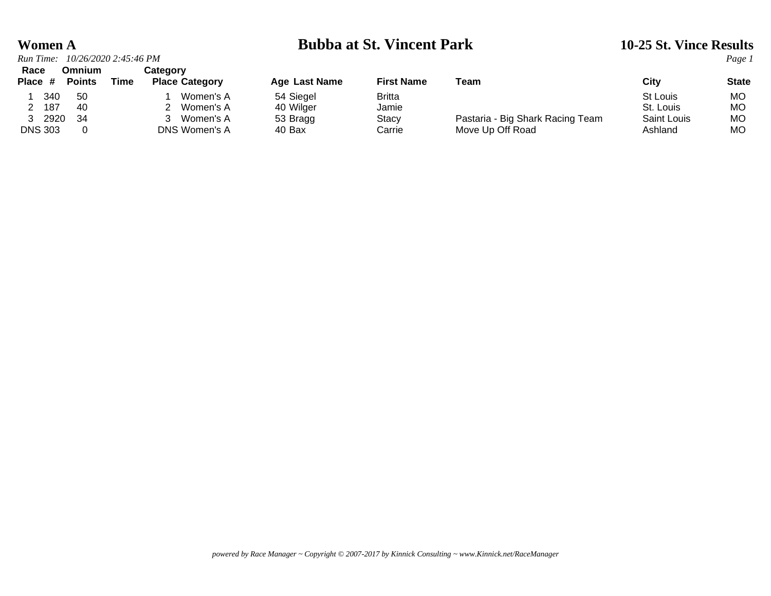### **Women A Bubba at St. Vincent Park 10-25 St. Vince Results**

| Run Time:                        | 10/26/2020 2:45:46 PM |                                   |               |                   |                                  |             | Page 1       |
|----------------------------------|-----------------------|-----------------------------------|---------------|-------------------|----------------------------------|-------------|--------------|
| Race<br><b>Points</b><br>Place # | Omnium<br>Time        | Category<br><b>Place Category</b> | Age Last Name | <b>First Name</b> | Team                             | City        | <b>State</b> |
| 340<br>50                        |                       | Women's A                         | 54 Siegel     | <b>Britta</b>     |                                  | St Louis    | МO           |
| 187<br>-40                       |                       | 2 Women's A                       | 40 Wilger     | Jamie             |                                  | St. Louis   | MO.          |
| 2920<br>34                       |                       | 3 Women's A                       | 53 Bragg      | <b>Stacy</b>      | Pastaria - Big Shark Racing Team | Saint Louis | МO           |
| <b>DNS 303</b>                   |                       | DNS Women's A                     | 40 Bax        | Carrie            | Move Up Off Road                 | Ashland     | MО           |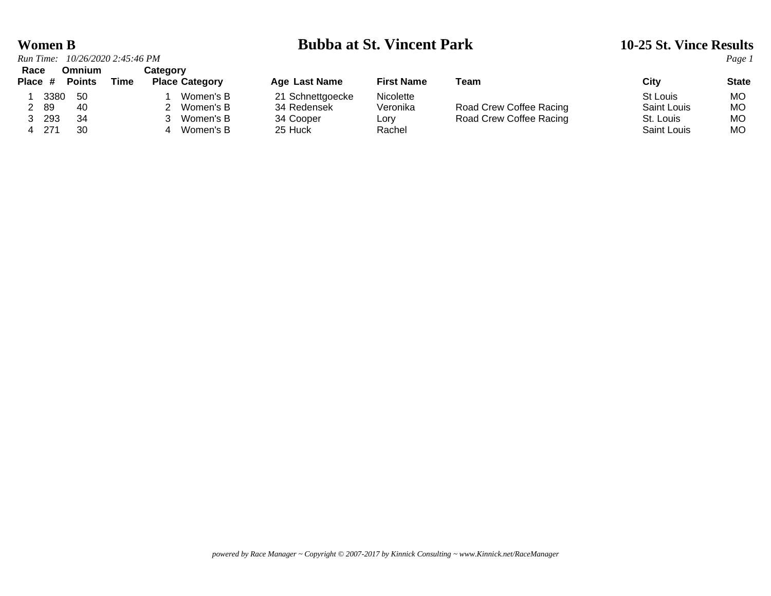### **Women B Bubba at St. Vincent Park 10-25 St. Vince Results**

| Run Time: |      | 10/26/2020 2:45:46 PM |      |          |                       |                      |                   |                         |                    | Page 1       |
|-----------|------|-----------------------|------|----------|-----------------------|----------------------|-------------------|-------------------------|--------------------|--------------|
| Race      |      | Omnium                |      | Categorv |                       |                      |                   |                         |                    |              |
| Place #   |      | <b>Points</b>         | Time |          | <b>Place Category</b> | <b>Age Last Name</b> | <b>First Name</b> | Team                    | City               | <b>State</b> |
|           | 3380 | -50                   |      |          | Women's B             | 21 Schnettgoecke     | Nicolette         |                         | St Louis           | MO.          |
| 2 89      |      | 40                    |      |          | 2 Women's B           | 34 Redensek          | Veronika          | Road Crew Coffee Racing | Saint Louis        | МO           |
| 3 293     |      | 34                    |      |          | Women's B             | 34 Cooper            | Lory              | Road Crew Coffee Racing | St. Louis          | MО           |
| 4 271     |      | 30                    |      |          | 4 Women's B           | 25 Huck              | Rachel            |                         | <b>Saint Louis</b> | MO.          |

| ⊦ Last Name   |  |
|---------------|--|
| Schnettgoecke |  |
| Redensek      |  |
| Cooper        |  |
| Huck          |  |

| гігэт наше |
|------------|
| Nicolette  |
| Veronika   |
| Lory       |
| Rachel     |

| .                                                |
|--------------------------------------------------|
| Road Crew Coffee Racin<br>Road Crew Coffee Racin |

| Citv        | Sí |
|-------------|----|
| St Louis    | N  |
| Saint Louis | N  |
| St. Louis   | N  |
| Saint Louis | N  |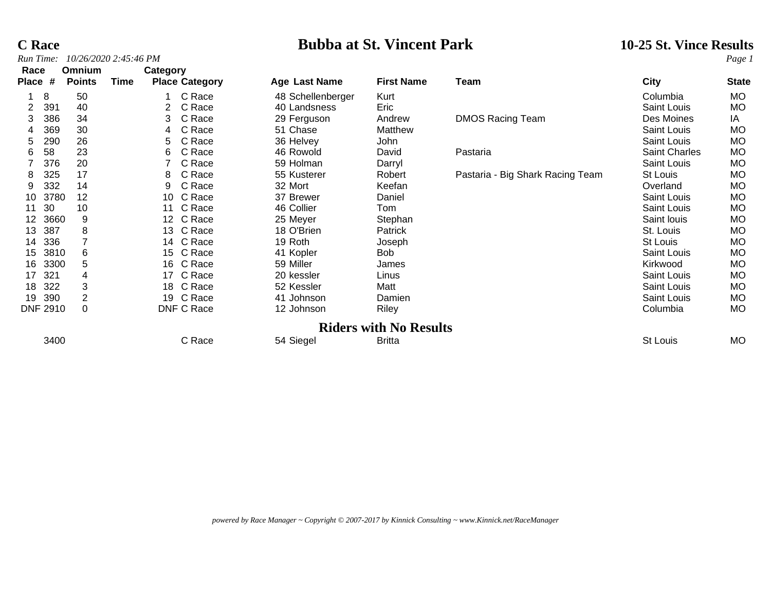## *Run Time: 10/26/2020 2:45:46 PM Page 1*

# **C Race Bubba at St. Vincent Park** 10-25 St. Vince Results *Run Time:* 10/26/2020 2:45:46 PM *Page 1*

| Race            |                 | <b>Omnium</b>  |      | Category              |                   |                               |                                  |                    |              |
|-----------------|-----------------|----------------|------|-----------------------|-------------------|-------------------------------|----------------------------------|--------------------|--------------|
| <b>Place</b>    | #               | <b>Points</b>  | Time | <b>Place Category</b> | Age Last Name     | <b>First Name</b>             | Team                             | <b>City</b>        | <b>State</b> |
|                 | 8               | 50             |      | C Race                | 48 Schellenberger | Kurt                          |                                  | Columbia           | MO           |
| 2               | 391             | 40             |      | C Race                | 40 Landsness      | Eric                          |                                  | <b>Saint Louis</b> | <b>MO</b>    |
| 3               | 386             | 34             |      | C Race<br>3.          | 29 Ferguson       | Andrew                        | <b>DMOS Racing Team</b>          | Des Moines         | IA           |
| 4               | 369             | 30             |      | C Race<br>4           | 51 Chase          | Matthew                       |                                  | Saint Louis        | <b>MO</b>    |
| 5               | 290             | 26             |      | C Race<br>5.          | 36 Helvey         | John                          |                                  | Saint Louis        | <b>MO</b>    |
| 6               | 58              | 23             |      | C Race<br>6           | 46 Rowold         | David                         | Pastaria                         | Saint Charles      | <b>MO</b>    |
|                 | 376             | 20             |      | C Race                | 59 Holman         | Darryl                        |                                  | Saint Louis        | MO           |
| 8               | 325             | 17             |      | C Race<br>8           | 55 Kusterer       | Robert                        | Pastaria - Big Shark Racing Team | St Louis           | <b>MO</b>    |
| 9               | 332             | 14             |      | C Race<br>9           | 32 Mort           | Keefan                        |                                  | Overland           | <b>MO</b>    |
| 10              | 3780            | 12             |      | C Race<br>10          | 37 Brewer         | Daniel                        |                                  | Saint Louis        | <b>MO</b>    |
| 11              | 30              | 10             |      | C Race<br>11          | 46 Collier        | Tom                           |                                  | Saint Louis        | MO           |
| 12 <sup>°</sup> | 3660            | 9              |      | 12 C Race             | 25 Meyer          | Stephan                       |                                  | Saint louis        | <b>MO</b>    |
| 13              | 387             | 8              |      | 13 C Race             | 18 O'Brien        | Patrick                       |                                  | St. Louis          | <b>MO</b>    |
| 14              | 336             |                |      | 14 C Race             | 19 Roth           | Joseph                        |                                  | St Louis           | <b>MO</b>    |
| 15              | 3810            | 6              |      | 15 C Race             | 41 Kopler         | Bob                           |                                  | Saint Louis        | <b>MO</b>    |
| 16              | 3300            | 5              |      | 16 C Race             | 59 Miller         | James                         |                                  | Kirkwood           | <b>MO</b>    |
| 17              | 321             | 4              |      | C Race<br>17          | 20 kessler        | Linus                         |                                  | Saint Louis        | <b>MO</b>    |
| 18              | 322             | 3              |      | 18 C Race             | 52 Kessler        | Matt                          |                                  | Saint Louis        | MO           |
| 19              | 390             | $\overline{2}$ |      | 19 C Race             | 41 Johnson        | Damien                        |                                  | <b>Saint Louis</b> | <b>MO</b>    |
|                 | <b>DNF 2910</b> | $\Omega$       |      | DNF C Race            | 12 Johnson        | Riley                         |                                  | Columbia           | MO           |
|                 |                 |                |      |                       |                   | <b>Riders with No Results</b> |                                  |                    |              |
|                 | 3400            |                |      | C Race                | 54 Siegel         | <b>Britta</b>                 |                                  | St Louis           | <b>MO</b>    |

*powered by Race Manager ~ Copyright © 2007-2017 by Kinnick Consulting ~ www.Kinnick.net/RaceManager*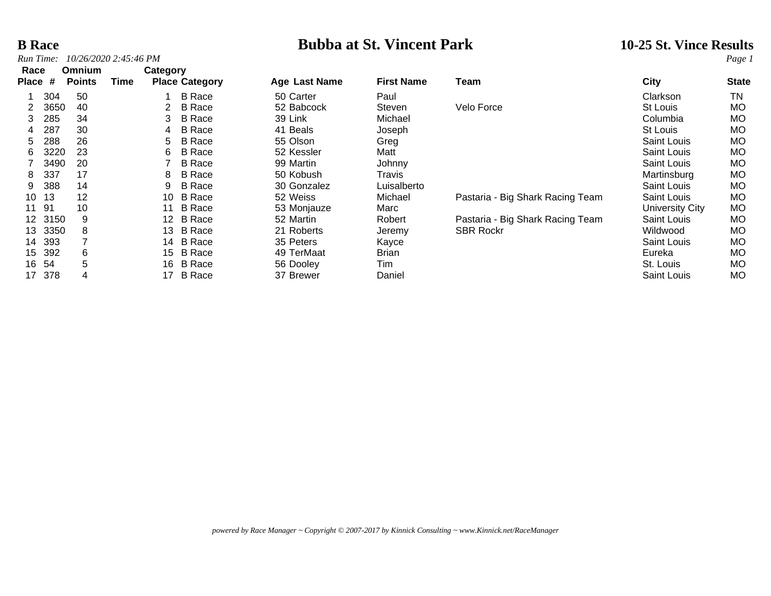## *Run Time: 10/26/2020 2:45:46 PM Page 1*

# **B Race Bubba at St. Vincent Park** 10-25 St. Vince Results *Park* 10-25 St. Vince Results *Page 1*

| Race         |       | Omnium        |      | Category |                       |               |                   |                                  |                    |              |
|--------------|-------|---------------|------|----------|-----------------------|---------------|-------------------|----------------------------------|--------------------|--------------|
| <b>Place</b> | #     | <b>Points</b> | Time |          | <b>Place Category</b> | Age Last Name | <b>First Name</b> | Team                             | City               | <b>State</b> |
|              | 304   | 50            |      |          | <b>B</b> Race         | 50 Carter     | Paul              |                                  | Clarkson           | TN           |
|              | 3650  | 40            |      |          | <b>B</b> Race         | 52 Babcock    | Steven            | Velo Force                       | St Louis           | <b>MO</b>    |
| 3.           | 285   | 34            |      | 3        | <b>B</b> Race         | 39 Link       | Michael           |                                  | Columbia           | <b>MO</b>    |
| 4            | 287   | 30            |      | 4        | <b>B</b> Race         | 41 Beals      | Joseph            |                                  | St Louis           | <b>MO</b>    |
| 5.           | 288   | 26            |      | 5.       | <b>B</b> Race         | 55 Olson      | Greg              |                                  | Saint Louis        | <b>MO</b>    |
| 6.           | 3220  | 23            |      | 6        | <b>B</b> Race         | 52 Kessler    | Matt              |                                  | Saint Louis        | <b>MO</b>    |
|              | 3490  | 20            |      |          | <b>B</b> Race         | 99 Martin     | Johnny            |                                  | Saint Louis        | <b>MO</b>    |
| 8            | 337   | 17            |      | 8        | <b>B</b> Race         | 50 Kobush     | Travis            |                                  | Martinsburg        | <b>MO</b>    |
| 9            | 388   | 14            |      | 9        | <b>B</b> Race         | 30 Gonzalez   | Luisalberto       |                                  | <b>Saint Louis</b> | <b>MO</b>    |
| 10           | 13    | 12            |      | 10       | <b>B</b> Race         | 52 Weiss      | Michael           | Pastaria - Big Shark Racing Team | Saint Louis        | <b>MO</b>    |
| 11           | 91    | 10            |      | 11       | <b>B</b> Race         | 53 Monjauze   | Marc              |                                  | University City    | <b>MO</b>    |
| 12.          | 3150  | 9             |      | 12       | <b>B</b> Race         | 52 Martin     | Robert            | Pastaria - Big Shark Racing Team | Saint Louis        | <b>MO</b>    |
| 13.          | 3350  | 8             |      | 13.      | <b>B</b> Race         | 21 Roberts    | Jeremy            | <b>SBR Rockr</b>                 | Wildwood           | <b>MO</b>    |
| 14           | 393   |               |      | 14       | <b>B</b> Race         | 35 Peters     | Kayce             |                                  | Saint Louis        | <b>MO</b>    |
| 15           | 392   | 6             |      |          | 15 B Race             | 49 TerMaat    | <b>Brian</b>      |                                  | Eureka             | <b>MO</b>    |
|              | 16 54 | 5             |      | 16       | <b>B</b> Race         | 56 Dooley     | Tim               |                                  | St. Louis          | <b>MO</b>    |
| 17           | 378   | 4             |      | 17       | <b>B</b> Race         | 37 Brewer     | Daniel            |                                  | Saint Louis        | <b>MO</b>    |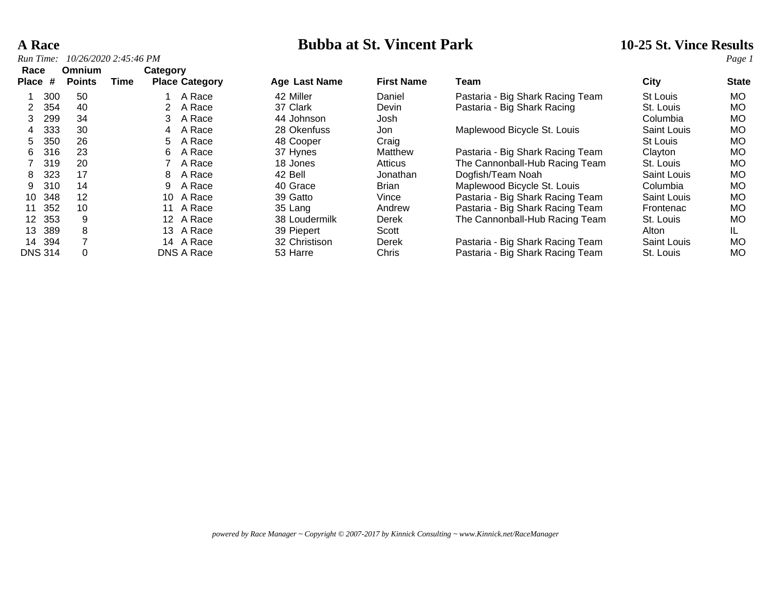## **A Race Bubba at St. Vincent Park** 10-25 St. Vince Results *Run Time:* 10/26/2020 2:45:46 PM

| Run Time:       |                                | 10/26/2020 2:45:46 PM |          |                       |               |                   |                                  |             | Page i       |
|-----------------|--------------------------------|-----------------------|----------|-----------------------|---------------|-------------------|----------------------------------|-------------|--------------|
| Race<br>Place # | <b>Omnium</b><br><b>Points</b> | Time                  | Category | <b>Place Category</b> | Age Last Name | <b>First Name</b> | Team                             | City        | <b>State</b> |
| 300             | 50                             |                       |          | A Race                | 42 Miller     | Daniel            | Pastaria - Big Shark Racing Team | St Louis    | MO.          |
| 354             | 40                             |                       |          | A Race                | 37 Clark      | Devin             | Pastaria - Big Shark Racing      | St. Louis   | <b>MO</b>    |
| 299<br>3        | 34                             |                       | 3.       | A Race                | 44 Johnson    | Josh              |                                  | Columbia    | <b>MO</b>    |
| 333<br>4        | 30                             |                       | 4        | A Race                | 28 Okenfuss   | Jon               | Maplewood Bicycle St. Louis      | Saint Louis | <b>MO</b>    |
| 350<br>5.       | 26                             |                       | 5.       | A Race                | 48 Cooper     | Craig             |                                  | St Louis    | <b>MO</b>    |
| 316<br>6        | 23                             |                       | 6        | A Race                | 37 Hynes      | Matthew           | Pastaria - Big Shark Racing Team | Clayton     | MO           |
| 319             | 20                             |                       |          | A Race                | 18 Jones      | Atticus           | The Cannonball-Hub Racing Team   | St. Louis   | <b>MO</b>    |
| 323<br>8        | 17                             |                       | 8        | A Race                | 42 Bell       | Jonathan          | Dogfish/Team Noah                | Saint Louis | <b>MO</b>    |
| 310<br>9        | 14                             |                       | 9        | A Race                | 40 Grace      | <b>Brian</b>      | Maplewood Bicycle St. Louis      | Columbia    | <b>MO</b>    |
| 348<br>10       | 12                             |                       | 10       | A Race                | 39 Gatto      | Vince             | Pastaria - Big Shark Racing Team | Saint Louis | MO           |
| 352<br>11       | 10                             |                       | 11       | A Race                | 35 Lang       | Andrew            | Pastaria - Big Shark Racing Team | Frontenac   | <b>MO</b>    |
| 353<br>12.      | 9                              |                       | 12       | A Race                | 38 Loudermilk | Derek             | The Cannonball-Hub Racing Team   | St. Louis   | MO           |
| 389<br>13       | 8                              |                       | 13.      | A Race                | 39 Piepert    | Scott             |                                  | Alton       | IL           |
| 14 394          |                                |                       |          | 14 A Race             | 32 Christison | Derek             | Pastaria - Big Shark Racing Team | Saint Louis | MO           |
| <b>DNS 314</b>  | 0                              |                       |          | DNS A Race            | 53 Harre      | Chris             | Pastaria - Big Shark Racing Team | St. Louis   | <b>MO</b>    |